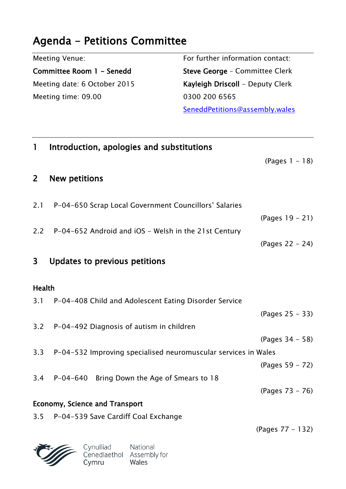## **Agenda - Petitions Committee**

| Meeting Venue:               | For further information contact: |  |
|------------------------------|----------------------------------|--|
| Committee Room 1 - Senedd    | Steve George - Committee Clerk   |  |
| Meeting date: 6 October 2015 | Kayleigh Driscoll - Deputy Clerk |  |
| Meeting time: 09.00          | 0300 200 6565                    |  |
|                              | SeneddPetitions@assembly.wales   |  |
|                              |                                  |  |

| $\mathbf{1}$                          | Introduction, apologies and substitutions                                      |                   |  |
|---------------------------------------|--------------------------------------------------------------------------------|-------------------|--|
|                                       |                                                                                | $(Pages 1 - 18)$  |  |
| 2 <sup>1</sup>                        | <b>New petitions</b>                                                           |                   |  |
| 2.1                                   | P-04-650 Scrap Local Government Councillors' Salaries                          |                   |  |
|                                       |                                                                                | $(Pages 19 - 21)$ |  |
|                                       | 2.2 P-04-652 Android and iOS - Welsh in the 21st Century                       |                   |  |
|                                       |                                                                                | (Pages 22 - 24)   |  |
| 3                                     | Updates to previous petitions                                                  |                   |  |
| Health                                |                                                                                |                   |  |
|                                       | 3.1 P-04-408 Child and Adolescent Eating Disorder Service                      |                   |  |
|                                       |                                                                                | (Pages 25 – 33)   |  |
|                                       | 3.2 P-04-492 Diagnosis of autism in children                                   |                   |  |
|                                       |                                                                                | (Pages 34 - 58)   |  |
| 3.3                                   | P-04-532 Improving specialised neuromuscular services in Wales                 |                   |  |
|                                       |                                                                                | (Pages 59 – 72)   |  |
|                                       | 3.4 P-04-640 Bring Down the Age of Smears to 18                                |                   |  |
|                                       |                                                                                | (Pages 73 – 76)   |  |
| <b>Economy, Science and Transport</b> |                                                                                |                   |  |
| 3.5                                   | P-04-539 Save Cardiff Coal Exchange                                            |                   |  |
|                                       |                                                                                | (Pages 77 – 132)  |  |
|                                       | Cynulliad<br>National<br>Cenedlaethol<br>Assembly for<br>Cymru<br><b>Wales</b> |                   |  |